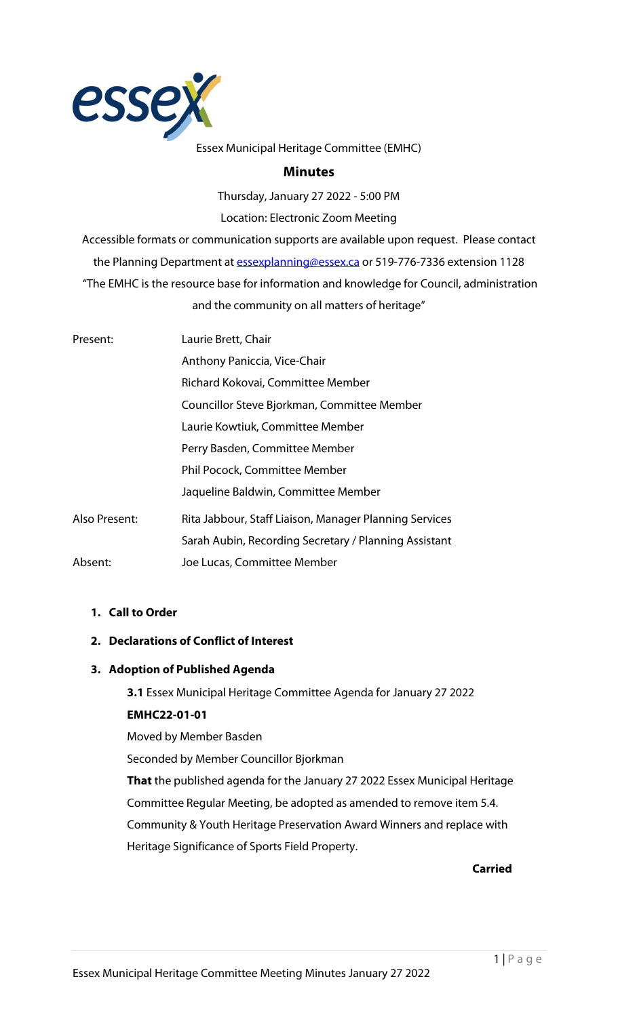

#### Essex Municipal Heritage Committee (EMHC)

#### **Minutes**

Thursday, January 27 2022 - 5:00 PM Location: Electronic Zoom Meeting

Accessible formats or communication supports are available upon request. Please contact the Planning Department a[t essexplanning@essex.ca](mailto:essexplanning@essex.ca) or 519-776-7336 extension 1128 "The EMHC is the resource base for information and knowledge for Council, administration and the community on all matters of heritage"

| Present:      | Laurie Brett, Chair                                    |
|---------------|--------------------------------------------------------|
|               | Anthony Paniccia, Vice-Chair                           |
|               | Richard Kokovai, Committee Member                      |
|               | Councillor Steve Bjorkman, Committee Member            |
|               | Laurie Kowtiuk, Committee Member                       |
|               | Perry Basden, Committee Member                         |
|               | Phil Pocock, Committee Member                          |
|               | Jaqueline Baldwin, Committee Member                    |
| Also Present: | Rita Jabbour, Staff Liaison, Manager Planning Services |
|               | Sarah Aubin, Recording Secretary / Planning Assistant  |
| Absent:       | Joe Lucas, Committee Member                            |

# **1. Call to Order**

### **2. Declarations of Conflict of Interest**

#### **3. Adoption of Published Agenda**

**3.1** Essex Municipal Heritage Committee Agenda for January 27 2022 **EMHC22-01-01**

Moved by Member Basden

Seconded by Member Councillor Bjorkman

**That** the published agenda for the January 27 2022 Essex Municipal Heritage Committee Regular Meeting, be adopted as amended to remove item 5.4. Community & Youth Heritage Preservation Award Winners and replace with Heritage Significance of Sports Field Property.

**Carried**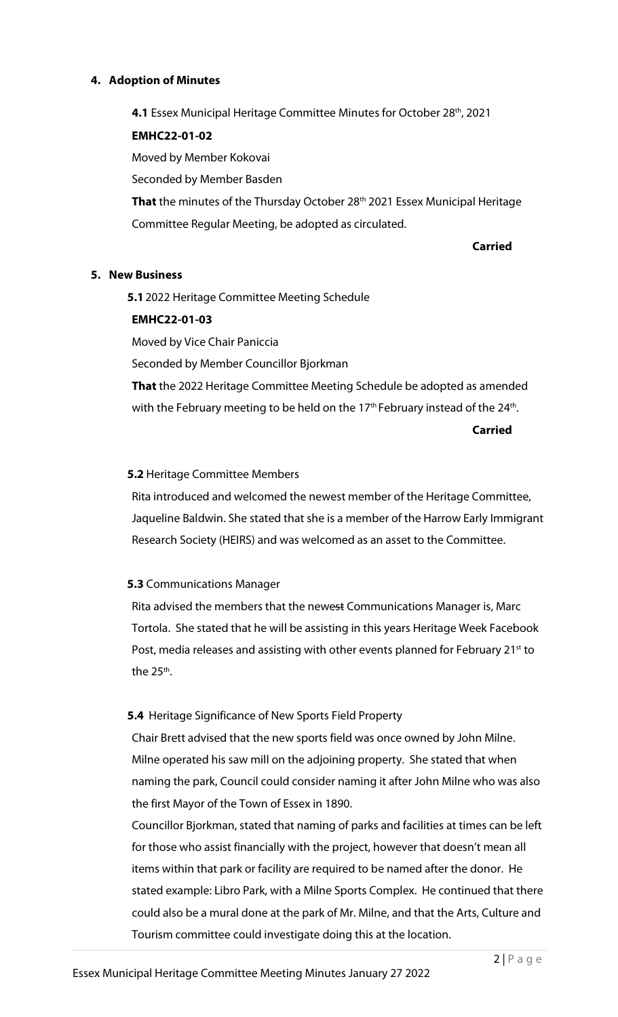### **4. Adoption of Minutes**

**4.1** Essex Municipal Heritage Committee Minutes for October 28<sup>th</sup>, 2021

# **EMHC22-01-02**

Moved by Member Kokovai

Seconded by Member Basden

That the minutes of the Thursday October 28<sup>th</sup> 2021 Essex Municipal Heritage Committee Regular Meeting, be adopted as circulated.

**Carried**

### **5. New Business**

**5.1**2022 Heritage Committee Meeting Schedule

### **EMHC22-01-03**

Moved by Vice Chair Paniccia

Seconded by Member Councillor Bjorkman

**That** the 2022 Heritage Committee Meeting Schedule be adopted as amended with the February meeting to be held on the  $17<sup>th</sup>$  February instead of the  $24<sup>th</sup>$ .

**Carried**

## **5.2** Heritage Committee Members

Rita introduced and welcomed the newest member of the Heritage Committee, Jaqueline Baldwin. She stated that she is a member of the Harrow Early Immigrant Research Society (HEIRS) and was welcomed as an asset to the Committee.

### **5.3** Communications Manager

Rita advised the members that the newest Communications Manager is, Marc Tortola. She stated that he will be assisting in this years Heritage Week Facebook Post, media releases and assisting with other events planned for February 21<sup>st</sup> to the  $25<sup>th</sup>$ .

# **5.4** Heritage Significance of New Sports Field Property

Chair Brett advised that the new sports field was once owned by John Milne. Milne operated his saw mill on the adjoining property. She stated that when naming the park, Council could consider naming it after John Milne who was also the first Mayor of the Town of Essex in 1890.

Councillor Bjorkman, stated that naming of parks and facilities at times can be left for those who assist financially with the project, however that doesn't mean all items within that park or facility are required to be named after the donor. He stated example: Libro Park, with a Milne Sports Complex. He continued that there could also be a mural done at the park of Mr. Milne, and that the Arts, Culture and Tourism committee could investigate doing this at the location.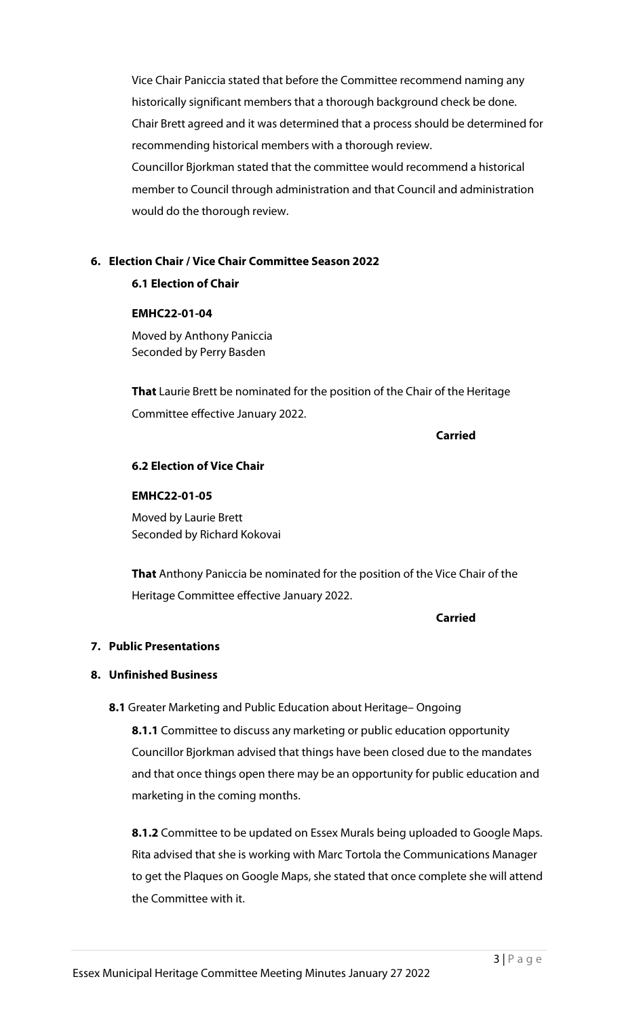Vice Chair Paniccia stated that before the Committee recommend naming any historically significant members that a thorough background check be done. Chair Brett agreed and it was determined that a process should be determined for recommending historical members with a thorough review. Councillor Bjorkman stated that the committee would recommend a historical member to Council through administration and that Council and administration would do the thorough review.

## **6. Election Chair / Vice Chair Committee Season 2022**

### **6.1 Election of Chair**

#### **EMHC22-01-04**

Moved by Anthony Paniccia Seconded by Perry Basden

**That** Laurie Brett be nominated for the position of the Chair of the Heritage Committee effective January 2022.

**Carried**

### **6.2 Election of Vice Chair**

#### **EMHC22-01-05**

Moved by Laurie Brett Seconded by Richard Kokovai

**That** Anthony Paniccia be nominated for the position of the Vice Chair of the Heritage Committee effective January 2022.

#### **Carried**

### **7. Public Presentations**

### **8. Unfinished Business**

**8.1** Greater Marketing and Public Education about Heritage– Ongoing

**8.1.1** Committee to discuss any marketing or public education opportunity Councillor Bjorkman advised that things have been closed due to the mandates and that once things open there may be an opportunity for public education and marketing in the coming months.

**8.1.2** Committee to be updated on Essex Murals being uploaded to Google Maps. Rita advised that she is working with Marc Tortola the Communications Manager to get the Plaques on Google Maps, she stated that once complete she will attend the Committee with it.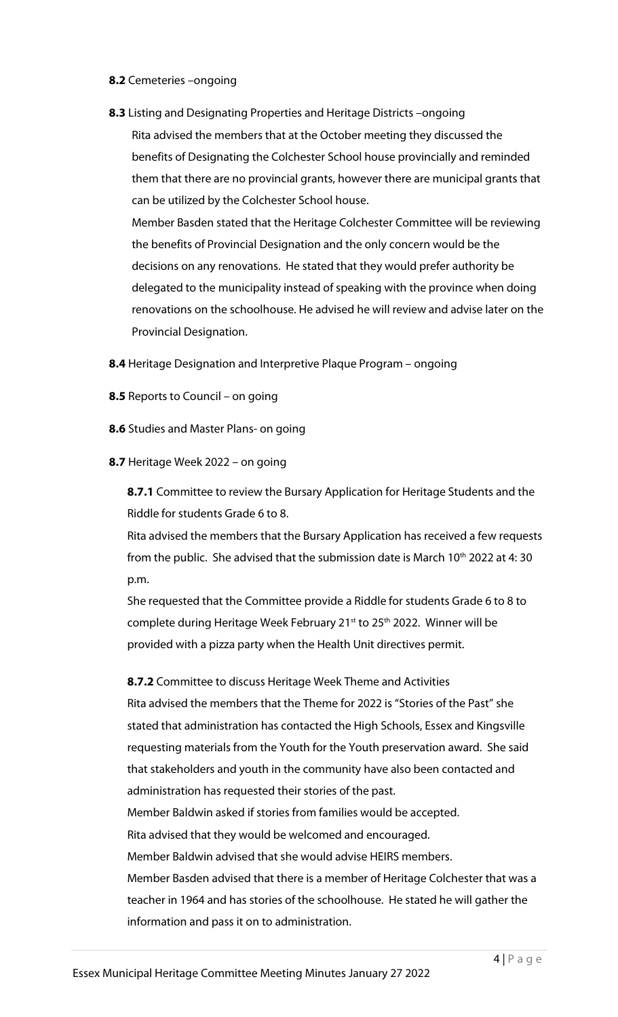#### **8.2** Cemeteries –ongoing

**8.3** Listing and Designating Properties and Heritage Districts –ongoing Rita advised the members that at the October meeting they discussed the benefits of Designating the Colchester School house provincially and reminded them that there are no provincial grants, however there are municipal grants that can be utilized by the Colchester School house.

Member Basden stated that the Heritage Colchester Committee will be reviewing the benefits of Provincial Designation and the only concern would be the decisions on any renovations. He stated that they would prefer authority be delegated to the municipality instead of speaking with the province when doing renovations on the schoolhouse. He advised he will review and advise later on the Provincial Designation.

- **8.4** Heritage Designation and Interpretive Plaque Program ongoing
- **8.5** Reports to Council on going
- **8.6** Studies and Master Plans- on going
- **8.7** Heritage Week 2022 on going

**8.7.1** Committee to review the Bursary Application for Heritage Students and the Riddle for students Grade 6 to 8.

Rita advised the members that the Bursary Application has received a few requests from the public. She advised that the submission date is March  $10<sup>th</sup>$  2022 at 4:30 p.m.

She requested that the Committee provide a Riddle for students Grade 6 to 8 to complete during Heritage Week February 21<sup>st</sup> to 25<sup>th</sup> 2022. Winner will be provided with a pizza party when the Health Unit directives permit.

**8.7.2** Committee to discuss Heritage Week Theme and Activities Rita advised the members that the Theme for 2022 is "Stories of the Past" she stated that administration has contacted the High Schools, Essex and Kingsville requesting materials from the Youth for the Youth preservation award. She said that stakeholders and youth in the community have also been contacted and administration has requested their stories of the past. Member Baldwin asked if stories from families would be accepted. Rita advised that they would be welcomed and encouraged. Member Baldwin advised that she would advise HEIRS members. Member Basden advised that there is a member of Heritage Colchester that was a teacher in 1964 and has stories of the schoolhouse. He stated he will gather the information and pass it on to administration.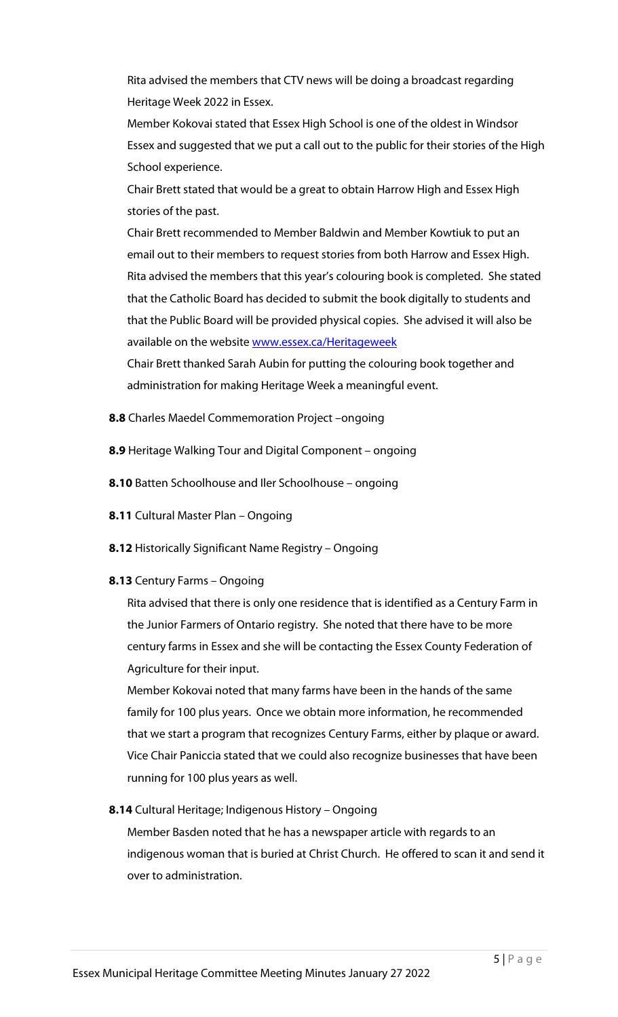Rita advised the members that CTV news will be doing a broadcast regarding Heritage Week 2022 in Essex.

Member Kokovai stated that Essex High School is one of the oldest in Windsor Essex and suggested that we put a call out to the public for their stories of the High School experience.

Chair Brett stated that would be a great to obtain Harrow High and Essex High stories of the past.

Chair Brett recommended to Member Baldwin and Member Kowtiuk to put an email out to their members to request stories from both Harrow and Essex High. Rita advised the members that this year's colouring book is completed. She stated that the Catholic Board has decided to submit the book digitally to students and that the Public Board will be provided physical copies. She advised it will also be available on the websit[e www.essex.ca/Heritageweek](http://www.essex.ca/Heritageweek)

Chair Brett thanked Sarah Aubin for putting the colouring book together and administration for making Heritage Week a meaningful event.

- **8.8** Charles Maedel Commemoration Project –ongoing
- **8.9** Heritage Walking Tour and Digital Component ongoing
- **8.10** Batten Schoolhouse and Iler Schoolhouse ongoing
- **8.11** Cultural Master Plan Ongoing
- **8.12** Historically Significant Name Registry Ongoing

### **8.13** Century Farms – Ongoing

Rita advised that there is only one residence that is identified as a Century Farm in the Junior Farmers of Ontario registry. She noted that there have to be more century farms in Essex and she will be contacting the Essex County Federation of Agriculture for their input.

Member Kokovai noted that many farms have been in the hands of the same family for 100 plus years. Once we obtain more information, he recommended that we start a program that recognizes Century Farms, either by plaque or award. Vice Chair Paniccia stated that we could also recognize businesses that have been running for 100 plus years as well.

# **8.14** Cultural Heritage; Indigenous History – Ongoing

Member Basden noted that he has a newspaper article with regards to an indigenous woman that is buried at Christ Church. He offered to scan it and send it over to administration.